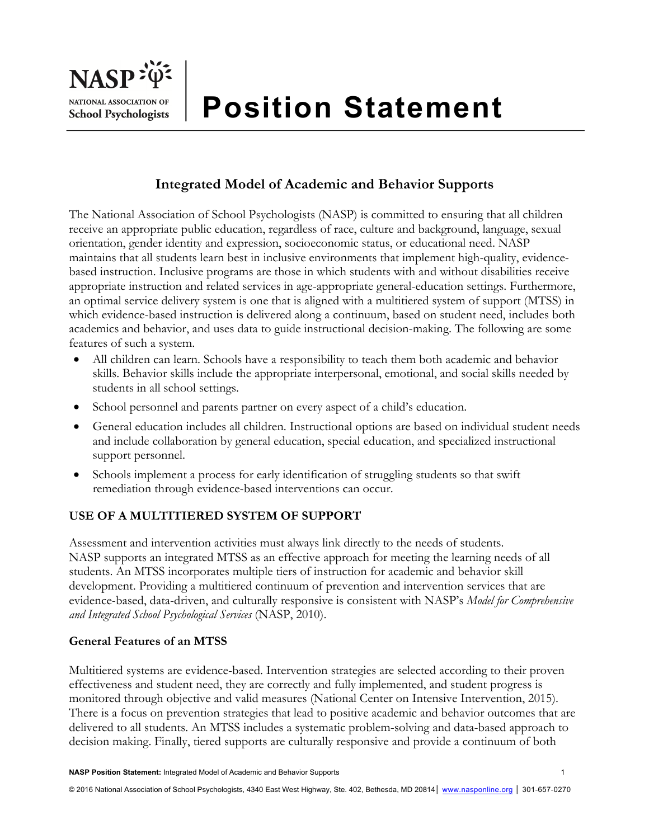# **Integrated Model of Academic and Behavior Supports**

The National Association of School Psychologists (NASP) is committed to ensuring that all children receive an appropriate public education, regardless of race, culture and background, language, sexual orientation, gender identity and expression, socioeconomic status, or educational need. NASP maintains that all students learn best in inclusive environments that implement high-quality, evidencebased instruction. Inclusive programs are those in which students with and without disabilities receive appropriate instruction and related services in age-appropriate general-education settings. Furthermore, an optimal service delivery system is one that is aligned with a multitiered system of support (MTSS) in which evidence-based instruction is delivered along a continuum, based on student need, includes both academics and behavior, and uses data to guide instructional decision-making. The following are some features of such a system.

- All children can learn. Schools have a responsibility to teach them both academic and behavior skills. Behavior skills include the appropriate interpersonal, emotional, and social skills needed by students in all school settings.
- School personnel and parents partner on every aspect of a child's education.
- General education includes all children. Instructional options are based on individual student needs and include collaboration by general education, special education, and specialized instructional support personnel.
- Schools implement a process for early identification of struggling students so that swift remediation through evidence-based interventions can occur.

# **USE OF A MULTITIERED SYSTEM OF SUPPORT**

Assessment and intervention activities must always link directly to the needs of students. NASP supports an integrated MTSS as an effective approach for meeting the learning needs of all students. An MTSS incorporates multiple tiers of instruction for academic and behavior skill development. Providing a multitiered continuum of prevention and intervention services that are evidence-based, data-driven, and culturally responsive is consistent with NASP's *Model for Comprehensive and Integrated School Psychological Services* (NASP, 2010).

### **General Features of an MTSS**

Multitiered systems are evidence-based. Intervention strategies are selected according to their proven effectiveness and student need, they are correctly and fully implemented, and student progress is monitored through objective and valid measures (National Center on Intensive Intervention, 2015). There is a focus on prevention strategies that lead to positive academic and behavior outcomes that are delivered to all students. An MTSS includes a systematic problem-solving and data-based approach to decision making. Finally, tiered supports are culturally responsive and provide a continuum of both

© 2016 National Association of School Psychologists, 4340 East West Highway, Ste. 402, Bethesda, MD 20814│ www.nasponline.org │ 301-657-0270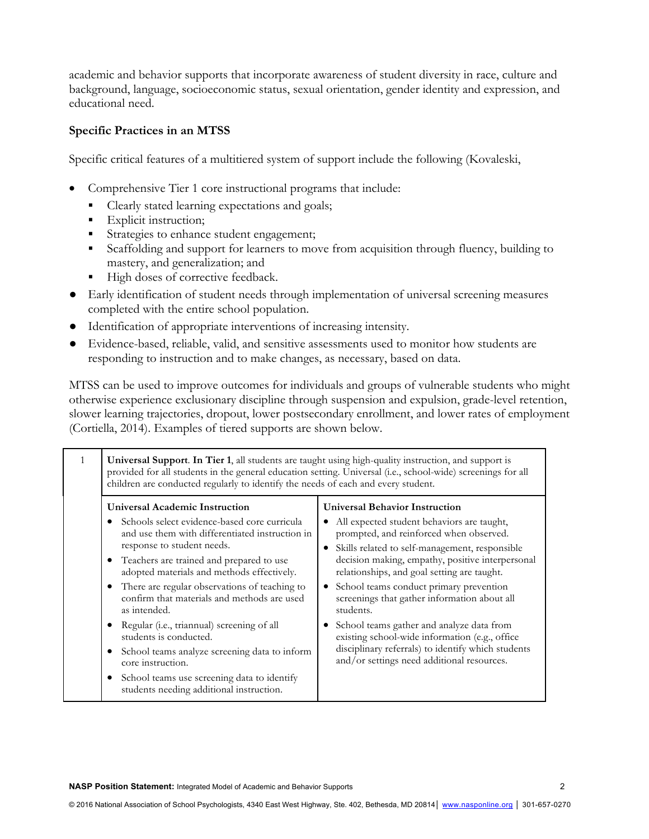academic and behavior supports that incorporate awareness of student diversity in race, culture and background, language, socioeconomic status, sexual orientation, gender identity and expression, and educational need.

#### **Specific Practices in an MTSS**

Specific critical features of a multitiered system of support include the following (Kovaleski,

- Comprehensive Tier 1 core instructional programs that include:
	- Clearly stated learning expectations and goals;
	- Explicit instruction;
	- Strategies to enhance student engagement;
	- Scaffolding and support for learners to move from acquisition through fluency, building to mastery, and generalization; and
	- High doses of corrective feedback.
- Early identification of student needs through implementation of universal screening measures completed with the entire school population.
- Identification of appropriate interventions of increasing intensity.
- Evidence-based, reliable, valid, and sensitive assessments used to monitor how students are responding to instruction and to make changes, as necessary, based on data.

MTSS can be used to improve outcomes for individuals and groups of vulnerable students who might otherwise experience exclusionary discipline through suspension and expulsion, grade-level retention, slower learning trajectories, dropout, lower postsecondary enrollment, and lower rates of employment (Cortiella, 2014). Examples of tiered supports are shown below.

| $\mathbf{1}$ | <b>Universal Support. In Tier 1,</b> all students are taught using high-quality instruction, and support is<br>provided for all students in the general education setting. Universal (i.e., school-wide) screenings for all<br>children are conducted regularly to identify the needs of each and every student. |                                                                                                                                                                                                              |
|--------------|------------------------------------------------------------------------------------------------------------------------------------------------------------------------------------------------------------------------------------------------------------------------------------------------------------------|--------------------------------------------------------------------------------------------------------------------------------------------------------------------------------------------------------------|
|              | <b>Universal Academic Instruction</b>                                                                                                                                                                                                                                                                            | <b>Universal Behavior Instruction</b>                                                                                                                                                                        |
|              | Schools select evidence-based core curricula<br>and use them with differentiated instruction in<br>response to student needs.<br>Teachers are trained and prepared to use                                                                                                                                        | • All expected student behaviors are taught,<br>prompted, and reinforced when observed.<br>Skills related to self-management, responsible<br>decision making, empathy, positive interpersonal                |
|              | adopted materials and methods effectively.<br>There are regular observations of teaching to<br>confirm that materials and methods are used<br>as intended.                                                                                                                                                       | relationships, and goal setting are taught.<br>School teams conduct primary prevention<br>$\bullet$<br>screenings that gather information about all<br>students.                                             |
|              | Regular (i.e., triannual) screening of all<br>students is conducted.<br>School teams analyze screening data to inform<br>٠<br>core instruction.<br>School teams use screening data to identify<br>students needing additional instruction.                                                                       | School teams gather and analyze data from<br>$\bullet$<br>existing school-wide information (e.g., office<br>disciplinary referrals) to identify which students<br>and/or settings need additional resources. |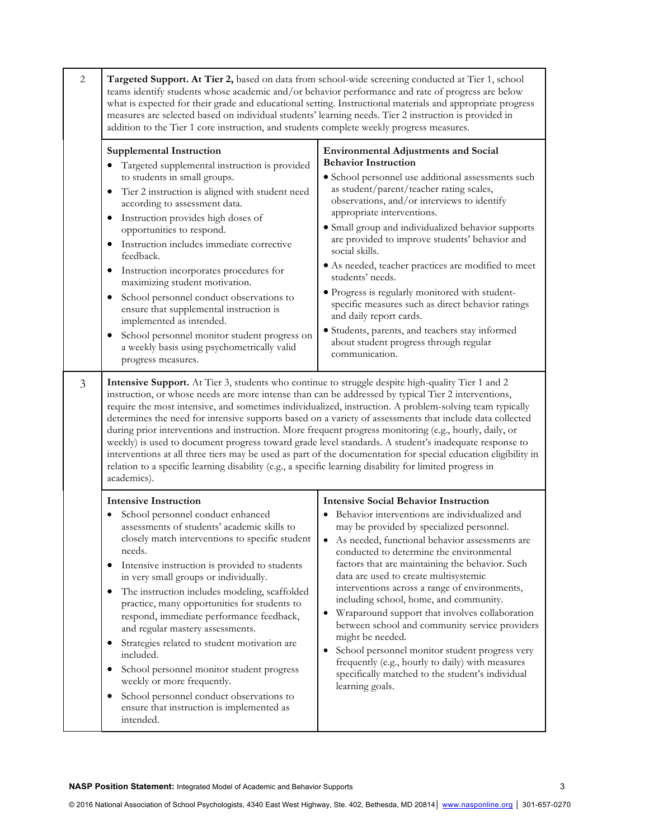| 2 | Targeted Support. At Tier 2, based on data from school-wide screening conducted at Tier 1, school<br>teams identify students whose academic and/or behavior performance and rate of progress are below<br>what is expected for their grade and educational setting. Instructional materials and appropriate progress<br>measures are selected based on individual students' learning needs. Tier 2 instruction is provided in<br>addition to the Tier 1 core instruction, and students complete weekly progress measures.                                                                                                                                                                                                                                                                                                                                                                       |                                                                                                                                                                                                                                                                                                                                                                                                                                                                                                                                                                                                                                                                                                                                                          |
|---|-------------------------------------------------------------------------------------------------------------------------------------------------------------------------------------------------------------------------------------------------------------------------------------------------------------------------------------------------------------------------------------------------------------------------------------------------------------------------------------------------------------------------------------------------------------------------------------------------------------------------------------------------------------------------------------------------------------------------------------------------------------------------------------------------------------------------------------------------------------------------------------------------|----------------------------------------------------------------------------------------------------------------------------------------------------------------------------------------------------------------------------------------------------------------------------------------------------------------------------------------------------------------------------------------------------------------------------------------------------------------------------------------------------------------------------------------------------------------------------------------------------------------------------------------------------------------------------------------------------------------------------------------------------------|
|   | <b>Supplemental Instruction</b><br>Targeted supplemental instruction is provided<br>to students in small groups.<br>Tier 2 instruction is aligned with student need<br>$\bullet$<br>according to assessment data.<br>Instruction provides high doses of<br>$\bullet$<br>opportunities to respond.<br>Instruction includes immediate corrective<br>$\bullet$<br>feedback.<br>Instruction incorporates procedures for<br>$\bullet$<br>maximizing student motivation.<br>School personnel conduct observations to<br>ensure that supplemental instruction is<br>implemented as intended.<br>School personnel monitor student progress on<br>$\bullet$<br>a weekly basis using psychometrically valid<br>progress measures.                                                                                                                                                                         | <b>Environmental Adjustments and Social</b><br><b>Behavior Instruction</b><br>• School personnel use additional assessments such<br>as student/parent/teacher rating scales,<br>observations, and/or interviews to identify<br>appropriate interventions.<br>• Small group and individualized behavior supports<br>are provided to improve students' behavior and<br>social skills.<br>• As needed, teacher practices are modified to meet<br>students' needs.<br>· Progress is regularly monitored with student-<br>specific measures such as direct behavior ratings<br>and daily report cards.<br>· Students, parents, and teachers stay informed<br>about student progress through regular<br>communication.                                         |
| 3 | Intensive Support. At Tier 3, students who continue to struggle despite high-quality Tier 1 and 2<br>instruction, or whose needs are more intense than can be addressed by typical Tier 2 interventions,<br>require the most intensive, and sometimes individualized, instruction. A problem-solving team typically<br>determines the need for intensive supports based on a variety of assessments that include data collected<br>during prior interventions and instruction. More frequent progress monitoring (e.g., hourly, daily, or<br>weekly) is used to document progress toward grade level standards. A student's inadequate response to<br>interventions at all three tiers may be used as part of the documentation for special education eligibility in<br>relation to a specific learning disability (e.g., a specific learning disability for limited progress in<br>academics). |                                                                                                                                                                                                                                                                                                                                                                                                                                                                                                                                                                                                                                                                                                                                                          |
|   | Intensive Instruction<br>School personnel conduct enhanced<br>assessments of students' academic skills to<br>closely match interventions to specific student<br>needs.<br>Intensive instruction is provided to students<br>$\bullet$<br>in very small groups or individually.<br>The instruction includes modeling, scaffolded<br>$\bullet$<br>practice, many opportunities for students to<br>respond, immediate performance feedback,<br>and regular mastery assessments.<br>Strategies related to student motivation are<br>$\bullet$<br>included.<br>School personnel monitor student progress<br>$\bullet$<br>weekly or more frequently.<br>School personnel conduct observations to<br>٠<br>ensure that instruction is implemented as<br>intended.                                                                                                                                        | <b>Intensive Social Behavior Instruction</b><br>Behavior interventions are individualized and<br>may be provided by specialized personnel.<br>• As needed, functional behavior assessments are<br>conducted to determine the environmental<br>factors that are maintaining the behavior. Such<br>data are used to create multisystemic<br>interventions across a range of environments,<br>including school, home, and community.<br>Wraparound support that involves collaboration<br>٠<br>between school and community service providers<br>might be needed.<br>School personnel monitor student progress very<br>$\bullet$<br>frequently (e.g., hourly to daily) with measures<br>specifically matched to the student's individual<br>learning goals. |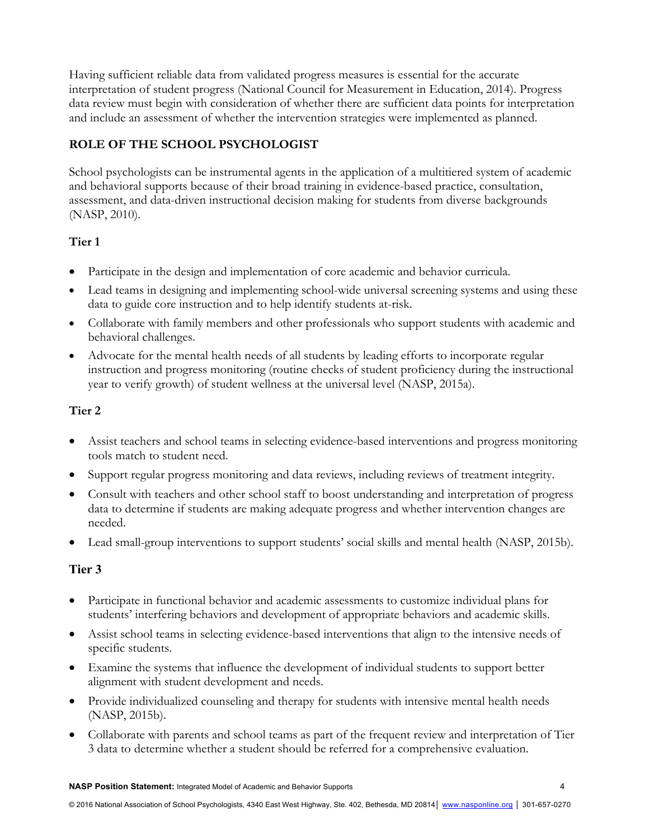Having sufficient reliable data from validated progress measures is essential for the accurate interpretation of student progress (National Council for Measurement in Education, 2014). Progress data review must begin with consideration of whether there are sufficient data points for interpretation and include an assessment of whether the intervention strategies were implemented as planned.

## **ROLE OF THE SCHOOL PSYCHOLOGIST**

School psychologists can be instrumental agents in the application of a multitiered system of academic and behavioral supports because of their broad training in evidence-based practice, consultation, assessment, and data-driven instructional decision making for students from diverse backgrounds (NASP, 2010).

### **Tier 1**

- Participate in the design and implementation of core academic and behavior curricula.
- Lead teams in designing and implementing school-wide universal screening systems and using these data to guide core instruction and to help identify students at-risk.
- Collaborate with family members and other professionals who support students with academic and behavioral challenges.
- Advocate for the mental health needs of all students by leading efforts to incorporate regular instruction and progress monitoring (routine checks of student proficiency during the instructional year to verify growth) of student wellness at the universal level (NASP, 2015a).

### **Tier 2**

- Assist teachers and school teams in selecting evidence-based interventions and progress monitoring tools match to student need.
- Support regular progress monitoring and data reviews, including reviews of treatment integrity.
- Consult with teachers and other school staff to boost understanding and interpretation of progress data to determine if students are making adequate progress and whether intervention changes are needed.
- Lead small-group interventions to support students' social skills and mental health (NASP, 2015b).

# **Tier 3**

- Participate in functional behavior and academic assessments to customize individual plans for students' interfering behaviors and development of appropriate behaviors and academic skills.
- Assist school teams in selecting evidence-based interventions that align to the intensive needs of specific students.
- Examine the systems that influence the development of individual students to support better alignment with student development and needs.
- Provide individualized counseling and therapy for students with intensive mental health needs (NASP, 2015b).
- Collaborate with parents and school teams as part of the frequent review and interpretation of Tier 3 data to determine whether a student should be referred for a comprehensive evaluation.

**NASP Position Statement:** Integrated Model of Academic and Behavior Supports 4